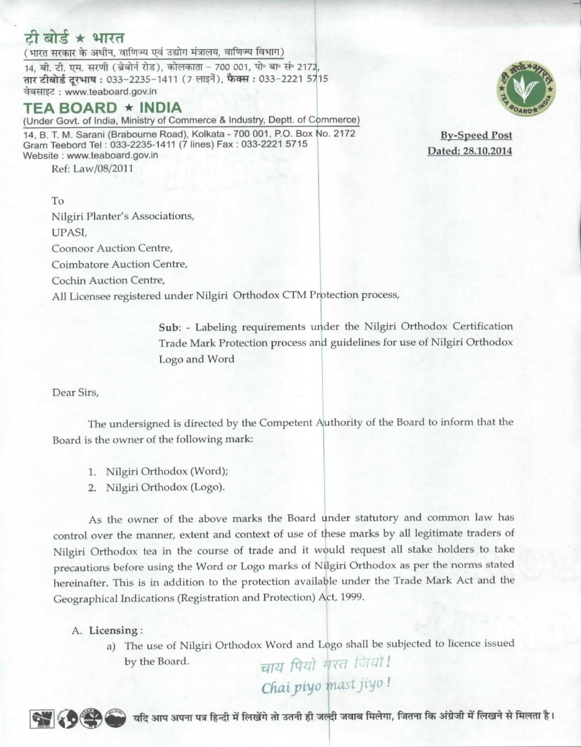# टी बोर्ड ★ भारत

(भारत सरकार के अधीन, वाणिज्य एवं उद्योग मंत्रालय, वाणिज्य विभाग)

14, बी. टी. एम. सरणी (ब्रेबोर्न रोड), कोलकाता - 700 001. पो॰ बा॰ सं॰ 2172. तार टीबोर्ड दूरभाष: 033-2235-1411 (7 लाइनें), फैक्स: 033-2221 5715 वेबसाइट: www.teaboard.gov.in

# TEA BOARD ★ INDIA

(Under Govt. of India, Ministry of Commerce & Industry, Deptt. of Commerce) 14. B. T. M. Sarani (Brabourne Road), Kolkata - 700 001, P.O. Box No. 2172 Gram Teebord Tel: 033-2235-1411 (7 lines) Fax: 033-2221 5715 Website: www.teaboard.gov.in

Ref: Law/08/2011

**By-Speed Post** Dated: 28.10.2014

To Nilgiri Planter's Associations, UPASI. Coonoor Auction Centre, Coimbatore Auction Centre, Cochin Auction Centre, All Licensee registered under Nilgiri Orthodox CTM Protection process,

> Sub: - Labeling requirements under the Nilgiri Orthodox Certification Trade Mark Protection process and guidelines for use of Nilgiri Orthodox Logo and Word

Dear Sirs,

The undersigned is directed by the Competent Authority of the Board to inform that the Board is the owner of the following mark:

- 1. Nilgiri Orthodox (Word);
- 2. Nilgiri Orthodox (Logo).

As the owner of the above marks the Board under statutory and common law has control over the manner, extent and context of use of these marks by all legitimate traders of Nilgiri Orthodox tea in the course of trade and it would request all stake holders to take precautions before using the Word or Logo marks of Nilgiri Orthodox as per the norms stated hereinafter. This is in addition to the protection available under the Trade Mark Act and the Geographical Indications (Registration and Protection) Act, 1999.

A. Licensing:

a) The use of Nilgiri Orthodox Word and Logo shall be subjected to licence issued चाय पियो मस्त जियो।<br>Chai.piyo mast jiyo! by the Board.



यदि आप अपना पत्र हिन्दी में लिखेंगे तो उतनी ही जल्दी जवाब मिलेगा, जितना कि अंग्रेजी में लिखने से मिलता है।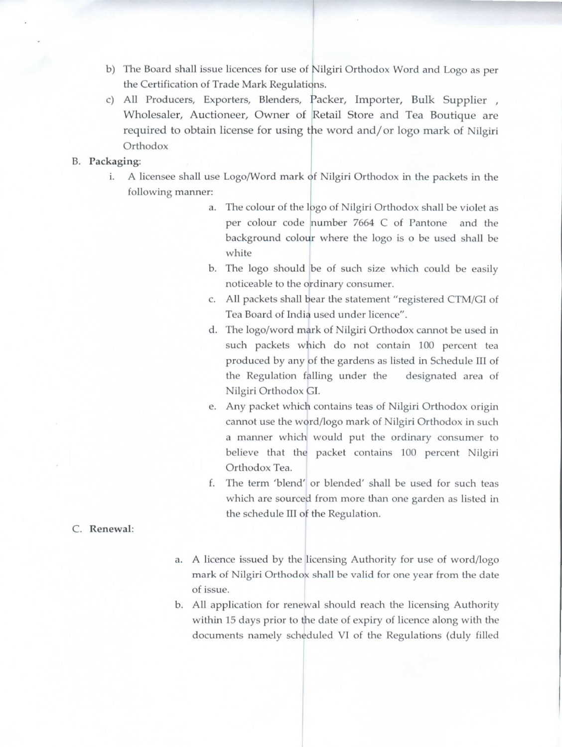b) The Board shall issue licences for use of Nilgiri Orthodox Word and Logo as per the Certification of Trade Mark Regulations.

 $\rightarrow$  -  $\rightarrow$  S/s  $\rightarrow$  S/s

the Certification of Frade Mark Regulations.<br>
c) All Producers, Exporters, Blenders, Packer, Importer, Bulk Supplier , Wholesaler, Auctioneer, Owner of Retail Store and Tea Boutique are wholesaler, Auctioneer, Owner of Ketan Store and Tea Bounque are<br>required to obtain license for using the word and/or logo mark of Nilgiri **Orthodox** 

### B. Packaging:

- uging.<br>i. A licensee shall use Logo/Word mark of Nilgiri Orthodox in the packets in the following manner:
	- a. The colour of the logo of Nilgiri Orthodox shall be violet as white per colour code number 7664 C of Pantone and the background colour where the logo is o be used shall be
	- b. The logo should be of such size which could be easily noticeable to the ordinary consumer.
	- Tea Board of Indi<mark>a</mark> used under licence". c. All packets shall bear the statement "registered CTM/GI of
	- d. The logo/word mark of Nilgiri Orthodox cannot be used in such packets which do not contain 100 percent tea produced by any <mark>of the gardens as listed in Schedule III</mark> of the Regulation falling under the Nilgiri Orthodox <mark>GI.</mark> designated area of
	- Nilgiri Orthodox GI.<br>e. Any packet which contains teas of Nilgiri Orthodox origin Any packet which contains teas of Nilgiri Orthodox origin<br>cannot use the word/logo mark of Nilgiri Orthodox in such a manner which would put the ordinary consumer to believe that the packet contains 100 percent Nilgiri Orthodox Tea.
	- Orthodox Tea.<br>
	f. The term 'blend' or blended' shall be used for such teas the schedule III o<mark>f</mark> the Regulation. which are sourced from more than one garden as listed in
- C. Renewal:
- a. A licence issued by the licensing Authority for use of word/logo mark of Nilgiri Orthodox shall be valid for one year from the date of issue.
- of issue.<br>b. All application for renewal should reach the licensing Authority within 15 days prior to the date of expiry of licence along with the documents namely scheduled VI of the Regulations (duly filled